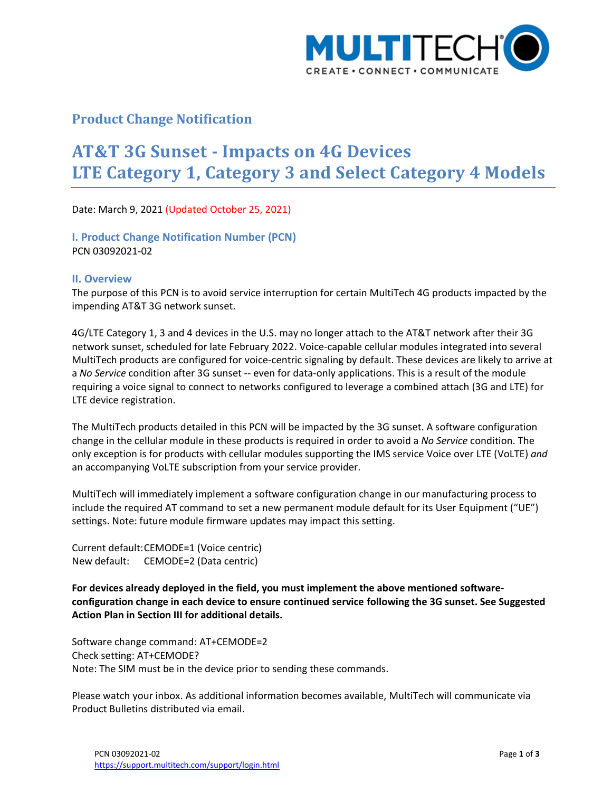

## **Product Change Notification**

# **AT&T 3G Sunset - Impacts on 4G Devices LTE Category 1, Category 3 and Select Category 4 Models**

Date: March 9, 2021 (Updated October 25, 2021)

**I. Product Change Notification Number (PCN)** PCN 03092021-02

#### **II. Overview**

The purpose of this PCN is to avoid service interruption for certain MultiTech 4G products impacted by the impending AT&T 3G network sunset.

4G/LTE Category 1, 3 and 4 devices in the U.S. may no longer attach to the AT&T network after their 3G network sunset, scheduled for late February 2022. Voice-capable cellular modules integrated into several MultiTech products are configured for voice-centric signaling by default. These devices are likely to arrive at a *No Service* condition after 3G sunset -- even for data-only applications. This is a result of the module requiring a voice signal to connect to networks configured to leverage a combined attach (3G and LTE) for LTE device registration.

The MultiTech products detailed in this PCN will be impacted by the 3G sunset. A software configuration change in the cellular module in these products is required in order to avoid a *No Service* condition. The only exception is for products with cellular modules supporting the IMS service Voice over LTE (VoLTE) *and* an accompanying VoLTE subscription from your service provider.

MultiTech will immediately implement a software configuration change in our manufacturing process to include the required AT command to set a new permanent module default for its User Equipment ("UE") settings. Note: future module firmware updates may impact this setting.

Current default:CEMODE=1 (Voice centric) New default: CEMODE=2 (Data centric)

**For devices already deployed in the field, you must implement the above mentioned softwareconfiguration change in each device to ensure continued service following the 3G sunset. See Suggested Action Plan in Section III for additional details.**

Software change command: AT+CEMODE=2 Check setting: AT+CEMODE? Note: The SIM must be in the device prior to sending these commands.

Please watch your inbox. As additional information becomes available, MultiTech will communicate via Product Bulletins distributed via email.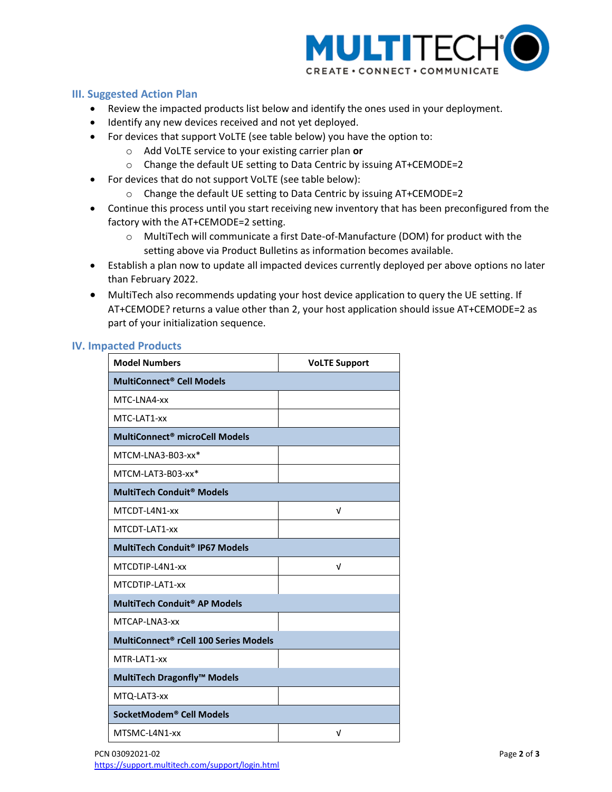

### **III. Suggested Action Plan**

- Review the impacted products list below and identify the ones used in your deployment.
- Identify any new devices received and not yet deployed.
- For devices that support VoLTE (see table below) you have the option to:
	- o Add VoLTE service to your existing carrier plan **or**
	- o Change the default UE setting to Data Centric by issuing AT+CEMODE=2
- For devices that do not support VoLTE (see table below):
	- o Change the default UE setting to Data Centric by issuing AT+CEMODE=2
- Continue this process until you start receiving new inventory that has been preconfigured from the factory with the AT+CEMODE=2 setting.
	- o MultiTech will communicate a first Date-of-Manufacture (DOM) for product with the setting above via Product Bulletins as information becomes available.
- Establish a plan now to update all impacted devices currently deployed per above options no later than February 2022.
- MultiTech also recommends updating your host device application to query the UE setting. If AT+CEMODE? returns a value other than 2, your host application should issue AT+CEMODE=2 as part of your initialization sequence.

#### **IV. Impacted Products**

| <b>Model Numbers</b>                              | <b>VoLTE Support</b> |
|---------------------------------------------------|----------------------|
| <b>MultiConnect<sup>®</sup> Cell Models</b>       |                      |
| MTC-LNA4-xx                                       |                      |
| MTC-LAT1-xx                                       |                      |
| MultiConnect <sup>®</sup> microCell Models        |                      |
| MTCM-LNA3-B03-xx*                                 |                      |
| MTCM-LAT3-B03-xx*                                 |                      |
| <b>MultiTech Conduit<sup>®</sup> Models</b>       |                      |
| MTCDT-L4N1-xx                                     | ν                    |
| MTCDT-LAT1-xx                                     |                      |
| MultiTech Conduit <sup>®</sup> IP67 Models        |                      |
| MTCDTIP-L4N1-xx                                   | v                    |
| MTCDTIP-LAT1-xx                                   |                      |
| MultiTech Conduit <sup>®</sup> AP Models          |                      |
| MTCAP-LNA3-xx                                     |                      |
| MultiConnect <sup>®</sup> rCell 100 Series Models |                      |
| MTR-LAT1-xx                                       |                      |
| MultiTech Dragonfly™ Models                       |                      |
| MTQ-LAT3-xx                                       |                      |
| SocketModem <sup>®</sup> Cell Models              |                      |
| MTSMC-L4N1-xx                                     | ν                    |